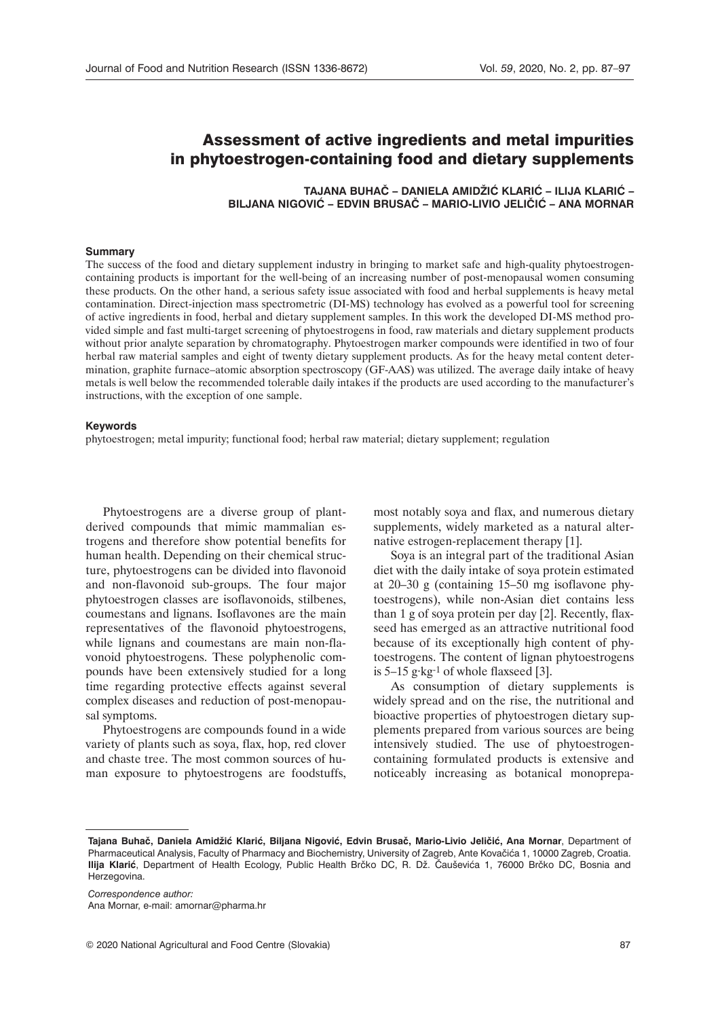# Assessment of active ingredients and metal impurities in phytoestrogen-containing food and dietary supplements

**Tajana Buhač – Daniela Amidžić Klarić – Ilija Klarić – Biljana Nigović – Edvin Brusač – Mario-Livio Jeličić – Ana Mornar**

#### **Summary**

The success of the food and dietary supplement industry in bringing to market safe and high-quality phytoestrogencontaining products is important for the well-being of an increasing number of post-menopausal women consuming these products. On the other hand, a serious safety issue associated with food and herbal supplements is heavy metal contamination. Direct-injection mass spectrometric (DI-MS) technology has evolved as a powerful tool for screening of active ingredients in food, herbal and dietary supplement samples. In this work the developed DI-MS method provided simple and fast multi-target screening of phytoestrogens in food, raw materials and dietary supplement products without prior analyte separation by chromatography. Phytoestrogen marker compounds were identified in two of four herbal raw material samples and eight of twenty dietary supplement products. As for the heavy metal content determination, graphite furnace–atomic absorption spectroscopy (GF-AAS) was utilized. The average daily intake of heavy metals is well below the recommended tolerable daily intakes if the products are used according to the manufacturer's instructions, with the exception of one sample.

#### **Keywords**

phytoestrogen; metal impurity; functional food; herbal raw material; dietary supplement; regulation

Phytoestrogens are a diverse group of plantderived compounds that mimic mammalian estrogens and therefore show potential benefits for human health. Depending on their chemical structure, phytoestrogens can be divided into flavonoid and non-flavonoid sub-groups. The four major phytoestrogen classes are isoflavonoids, stilbenes, coumestans and lignans. Isoflavones are the main representatives of the flavonoid phytoestrogens, while lignans and coumestans are main non-flavonoid phytoestrogens. These polyphenolic compounds have been extensively studied for a long time regarding protective effects against several complex diseases and reduction of post-menopausal symptoms.

Phytoestrogens are compounds found in a wide variety of plants such as soya, flax, hop, red clover and chaste tree. The most common sources of human exposure to phytoestrogens are foodstuffs,

most notably soya and flax, and numerous dietary supplements, widely marketed as a natural alternative estrogen-replacement therapy [1].

Soya is an integral part of the traditional Asian diet with the daily intake of soya protein estimated at 20–30 g (containing 15–50 mg isoflavone phytoestrogens), while non-Asian diet contains less than 1 g of soya protein per day [2]. Recently, flaxseed has emerged as an attractive nutritional food because of its exceptionally high content of phytoestrogens. The content of lignan phytoestrogens is 5–15 g·kg-1 of whole flaxseed [3].

As consumption of dietary supplements is widely spread and on the rise, the nutritional and bioactive properties of phytoestrogen dietary supplements prepared from various sources are being intensively studied. The use of phytoestrogencontaining formulated products is extensive and noticeably increasing as botanical monoprepa-

*Correspondence author:* Ana Mornar, e-mail: <amornar@pharma.hr>

**Tajana Buhač, Daniela Amidžić Klarić, Biljana Nigović, Edvin Brusač, Mario-Livio Jeličić, Ana Mornar**, Department of Pharmaceutical Analysis, Faculty of Pharmacy and Biochemistry, University of Zagreb, Ante Kovačića 1, 10000 Zagreb, Croatia. **Ilija Klarić**, Department of Health Ecology, Public Health Brčko DC, R. Dž. Čauševića 1, 76000 Brčko DC, Bosnia and Herzegovina.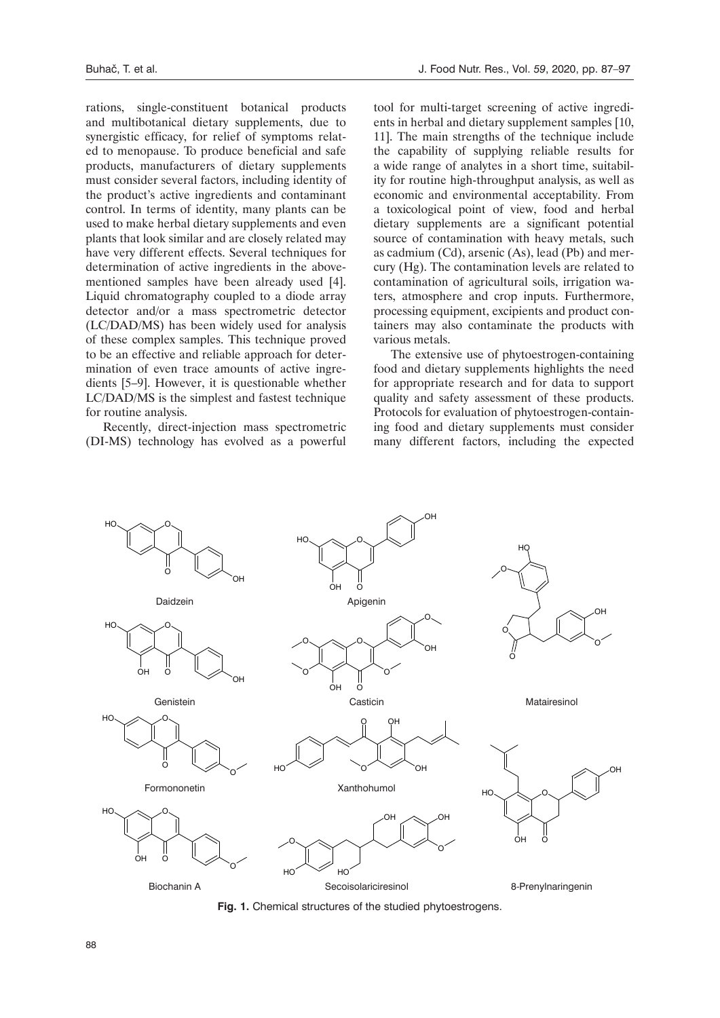rations, single-constituent botanical products and multibotanical dietary supplements, due to synergistic efficacy, for relief of symptoms related to menopause. To produce beneficial and safe products, manufacturers of dietary supplements must consider several factors, including identity of the product's active ingredients and contaminant control. In terms of identity, many plants can be used to make herbal dietary supplements and even plants that look similar and are closely related may have very different effects. Several techniques for determination of active ingredients in the abovementioned samples have been already used [4]. Liquid chromatography coupled to a diode array detector and/or a mass spectrometric detector (LC/DAD/MS) has been widely used for analysis of these complex samples. This technique proved to be an effective and reliable approach for determination of even trace amounts of active ingredients [5–9]. However, it is questionable whether LC/DAD/MS is the simplest and fastest technique for routine analysis.

Recently, direct-injection mass spectrometric (DI-MS) technology has evolved as a powerful

tool for multi-target screening of active ingredients in herbal and dietary supplement samples [10, 11]. The main strengths of the technique include the capability of supplying reliable results for a wide range of analytes in a short time, suitability for routine high-throughput analysis, as well as economic and environmental acceptability. From a toxicological point of view, food and herbal dietary supplements are a significant potential source of contamination with heavy metals, such as cadmium (Cd), arsenic (As), lead (Pb) and mercury (Hg). The contamination levels are related to contamination of agricultural soils, irrigation waters, atmosphere and crop inputs. Furthermore, processing equipment, excipients and product containers may also contaminate the products with various metals.

The extensive use of phytoestrogen-containing food and dietary supplements highlights the need for appropriate research and for data to support quality and safety assessment of these products. Protocols for evaluation of phytoestrogen-containing food and dietary supplements must consider many different factors, including the expected



**Fig. 1.** Chemical structures of the studied phytoestrogens.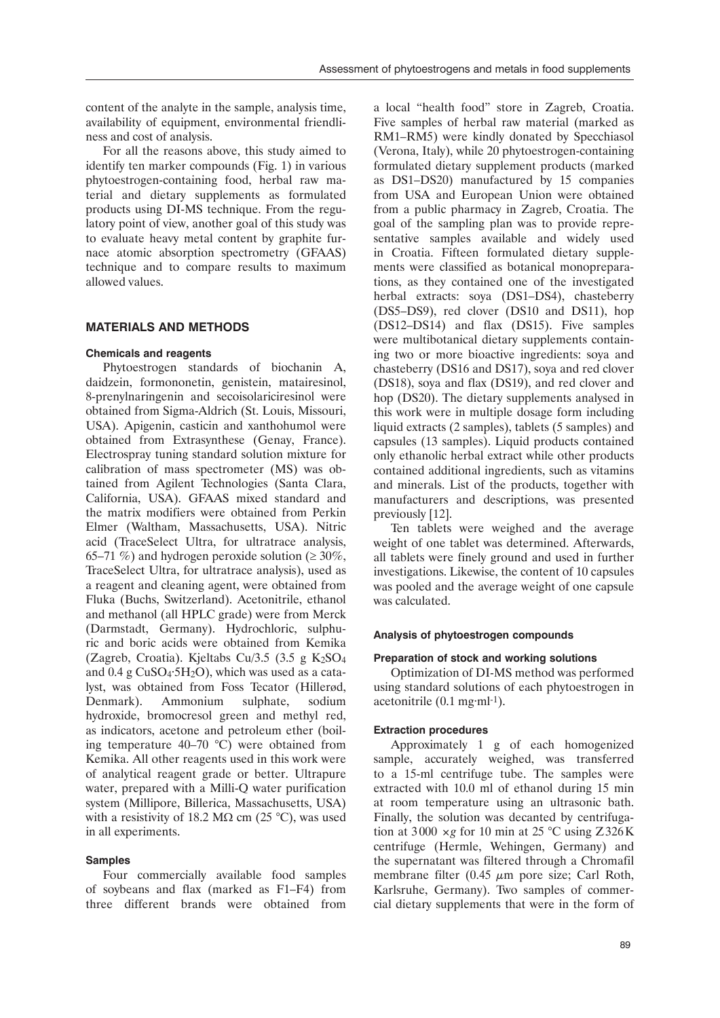content of the analyte in the sample, analysis time, availability of equipment, environmental friendliness and cost of analysis.

For all the reasons above, this study aimed to identify ten marker compounds (Fig. 1) in various phytoestrogen-containing food, herbal raw material and dietary supplements as formulated products using DI-MS technique. From the regulatory point of view, another goal of this study was to evaluate heavy metal content by graphite furnace atomic absorption spectrometry (GFAAS) technique and to compare results to maximum allowed values.

## **Materials and methods**

### **Chemicals and reagents**

Phytoestrogen standards of biochanin A, daidzein, formononetin, genistein, matairesinol, 8-prenylnaringenin and secoisolariciresinol were obtained from Sigma-Aldrich (St. Louis, Missouri, USA). Apigenin, casticin and xanthohumol were obtained from Extrasynthese (Genay, France). Electrospray tuning standard solution mixture for calibration of mass spectrometer (MS) was obtained from Agilent Technologies (Santa Clara, California, USA). GFAAS mixed standard and the matrix modifiers were obtained from Perkin Elmer (Waltham, Massachusetts, USA). Nitric acid (TraceSelect Ultra, for ultratrace analysis, 65–71 %) and hydrogen peroxide solution ( $\geq 30\%$ , TraceSelect Ultra, for ultratrace analysis), used as a reagent and cleaning agent, were obtained from Fluka (Buchs, Switzerland). Acetonitrile, ethanol and methanol (all HPLC grade) were from Merck (Darmstadt, Germany). Hydrochloric, sulphuric and boric acids were obtained from Kemika (Zagreb, Croatia). Kieltabs Cu/3.5 (3.5 g K $_2$ SO<sub>4</sub> and  $0.4$  g CuSO<sub>4</sub>·5H<sub>2</sub>O), which was used as a catalyst, was obtained from Foss Tecator (Hillerød, Denmark). Ammonium sulphate, sodium hydroxide, bromocresol green and methyl red, as indicators, acetone and petroleum ether (boiling temperature 40–70 °C) were obtained from Kemika. All other reagents used in this work were of analytical reagent grade or better. Ultrapure water, prepared with a Milli-Q water purification system (Millipore, Billerica, Massachusetts, USA) with a resistivity of 18.2 M $\Omega$  cm (25 °C), was used in all experiments.

## **Samples**

Four commercially available food samples of soybeans and flax (marked as F1–F4) from three different brands were obtained from

a local "health food" store in Zagreb, Croatia. Five samples of herbal raw material (marked as RM1–RM5) were kindly donated by Specchiasol (Verona, Italy), while 20 phytoestrogen-containing formulated dietary supplement products (marked as DS1–DS20) manufactured by 15 companies from USA and European Union were obtained from a public pharmacy in Zagreb, Croatia. The goal of the sampling plan was to provide representative samples available and widely used in Croatia. Fifteen formulated dietary supplements were classified as botanical monopreparations, as they contained one of the investigated herbal extracts: soya (DS1–DS4), chasteberry (DS5–DS9), red clover (DS10 and DS11), hop (DS12–DS14) and flax (DS15). Five samples were multibotanical dietary supplements containing two or more bioactive ingredients: soya and chasteberry (DS16 and DS17), soya and red clover (DS18), soya and flax (DS19), and red clover and hop (DS20). The dietary supplements analysed in this work were in multiple dosage form including liquid extracts (2 samples), tablets (5 samples) and capsules (13 samples). Liquid products contained only ethanolic herbal extract while other products contained additional ingredients, such as vitamins and minerals. List of the products, together with manufacturers and descriptions, was presented previously [12].

Ten tablets were weighed and the average weight of one tablet was determined. Afterwards, all tablets were finely ground and used in further investigations. Likewise, the content of 10 capsules was pooled and the average weight of one capsule was calculated.

## **Analysis of phytoestrogen compounds**

#### **Preparation of stock and working solutions**

Optimization of DI-MS method was performed using standard solutions of each phytoestrogen in acetonitrile  $(0.1 \text{ mg} \cdot \text{ml}^{-1})$ .

#### **Extraction procedures**

Approximately 1 g of each homogenized sample, accurately weighed, was transferred to a 15-ml centrifuge tube. The samples were extracted with 10.0 ml of ethanol during 15 min at room temperature using an ultrasonic bath. Finally, the solution was decanted by centrifugation at 3000  $\times$ *g* for 10 min at 25 °C using Z326K centrifuge (Hermle, Wehingen, Germany) and the supernatant was filtered through a Chromafil membrane filter  $(0.45 \mu m)$  pore size; Carl Roth, Karlsruhe, Germany). Two samples of commercial dietary supplements that were in the form of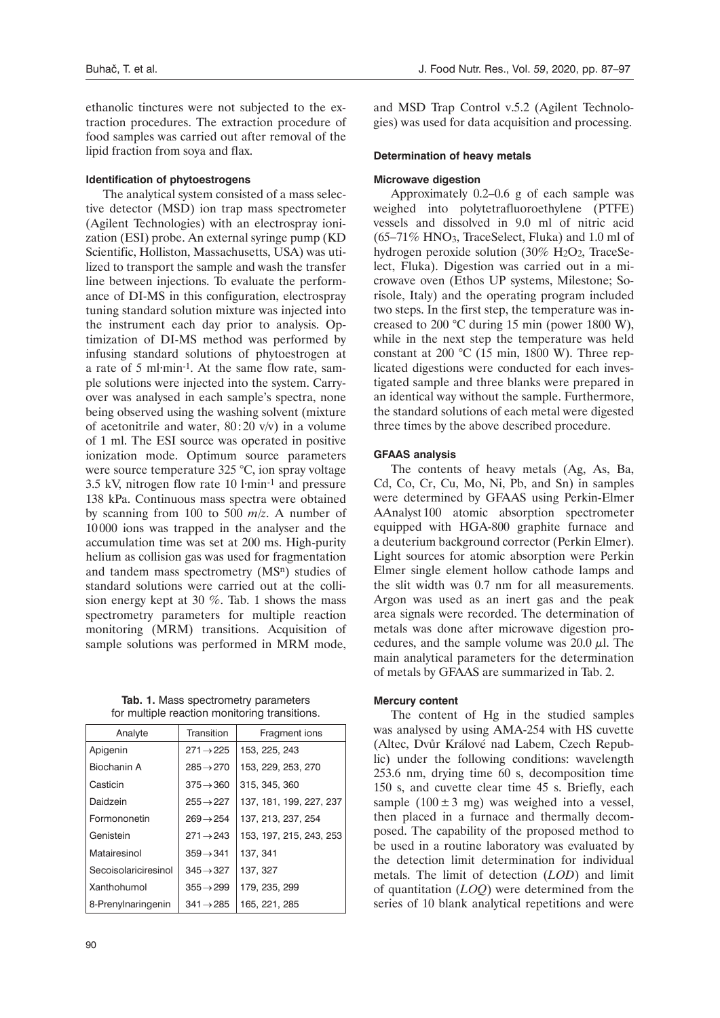ethanolic tinctures were not subjected to the extraction procedures. The extraction procedure of food samples was carried out after removal of the lipid fraction from soya and flax.

#### **Identification of phytoestrogens**

The analytical system consisted of a mass selective detector (MSD) ion trap mass spectrometer (Agilent Technologies) with an electrospray ionization (ESI) probe. An external syringe pump (KD Scientific, Holliston, Massachusetts, USA) was utilized to transport the sample and wash the transfer line between injections. To evaluate the performance of DI-MS in this configuration, electrospray tuning standard solution mixture was injected into the instrument each day prior to analysis. Optimization of DI-MS method was performed by infusing standard solutions of phytoestrogen at a rate of 5 ml·min-1. At the same flow rate, sample solutions were injected into the system. Carryover was analysed in each sample's spectra, none being observed using the washing solvent (mixture of acetonitrile and water,  $80:20 \text{ v/v}$  in a volume of 1 ml. The ESI source was operated in positive ionization mode. Optimum source parameters were source temperature 325 °C, ion spray voltage 3.5 kV, nitrogen flow rate 10 l·min-1 and pressure 138 kPa. Continuous mass spectra were obtained by scanning from 100 to 500 *m/z*. A number of 10000 ions was trapped in the analyser and the accumulation time was set at 200 ms. High-purity helium as collision gas was used for fragmentation and tandem mass spectrometry (MSn) studies of standard solutions were carried out at the collision energy kept at 30 %. Tab. 1 shows the mass spectrometry parameters for multiple reaction monitoring (MRM) transitions. Acquisition of sample solutions was performed in MRM mode,

**Tab. 1.** Mass spectrometry parameters for multiple reaction monitoring transitions.

| Analyte              | Transition            | Fragment ions           |
|----------------------|-----------------------|-------------------------|
| Apigenin             | $271 \rightarrow 225$ | 153, 225, 243           |
| Biochanin A          | $285 \rightarrow 270$ | 153, 229, 253, 270      |
| Casticin             | $375 \rightarrow 360$ | 315, 345, 360           |
| Daidzein             | $255 \rightarrow 227$ | 137, 181, 199, 227, 237 |
| Formononetin         | $269 \rightarrow 254$ | 137, 213, 237, 254      |
| Genistein            | $271 \rightarrow 243$ | 153, 197, 215, 243, 253 |
| Matairesinol         | $359 \rightarrow 341$ | 137, 341                |
| Secoisolariciresinol | $345 \rightarrow 327$ | 137, 327                |
| Xanthohumol          | $355 \rightarrow 299$ | 179, 235, 299           |
| 8-Prenylnaringenin   | $341 \rightarrow 285$ | 165, 221, 285           |

and MSD Trap Control v.5.2 (Agilent Technologies) was used for data acquisition and processing.

#### **Determination of heavy metals**

#### **Microwave digestion**

Approximately 0.2–0.6 g of each sample was weighed into polytetrafluoroethylene (PTFE) vessels and dissolved in 9.0 ml of nitric acid  $(65-71\%$  HNO<sub>3</sub>, TraceSelect, Fluka) and 1.0 ml of hydrogen peroxide solution (30% H<sub>2</sub>O<sub>2</sub>, TraceSelect, Fluka). Digestion was carried out in a microwave oven (Ethos UP systems, Milestone; Sorisole, Italy) and the operating program included two steps. In the first step, the temperature was increased to 200 °C during 15 min (power 1800 W), while in the next step the temperature was held constant at 200  $^{\circ}$ C (15 min, 1800 W). Three replicated digestions were conducted for each investigated sample and three blanks were prepared in an identical way without the sample. Furthermore, the standard solutions of each metal were digested three times by the above described procedure.

### **GFAAS analysis**

The contents of heavy metals (Ag, As, Ba, Cd, Co, Cr, Cu, Mo, Ni, Pb, and Sn) in samples were determined by GFAAS using Perkin-Elmer AAnalyst 100 atomic absorption spectrometer equipped with HGA-800 graphite furnace and a deuterium background corrector (Perkin Elmer). Light sources for atomic absorption were Perkin Elmer single element hollow cathode lamps and the slit width was 0.7 nm for all measurements. Argon was used as an inert gas and the peak area signals were recorded. The determination of metals was done after microwave digestion procedures, and the sample volume was  $20.0 \mu$ . The main analytical parameters for the determination of metals by GFAAS are summarized in Tab. 2.

#### **Mercury content**

The content of Hg in the studied samples was analysed by using AMA-254 with HS cuvette (Altec, Dvůr Králové nad Labem, Czech Republic) under the following conditions: wavelength 253.6 nm, drying time 60 s, decomposition time 150 s, and cuvette clear time 45 s. Briefly, each sample  $(100 \pm 3 \text{ mg})$  was weighed into a vessel, then placed in a furnace and thermally decomposed. The capability of the proposed method to be used in a routine laboratory was evaluated by the detection limit determination for individual metals. The limit of detection (*LOD*) and limit of quantitation (*LOQ*) were determined from the series of 10 blank analytical repetitions and were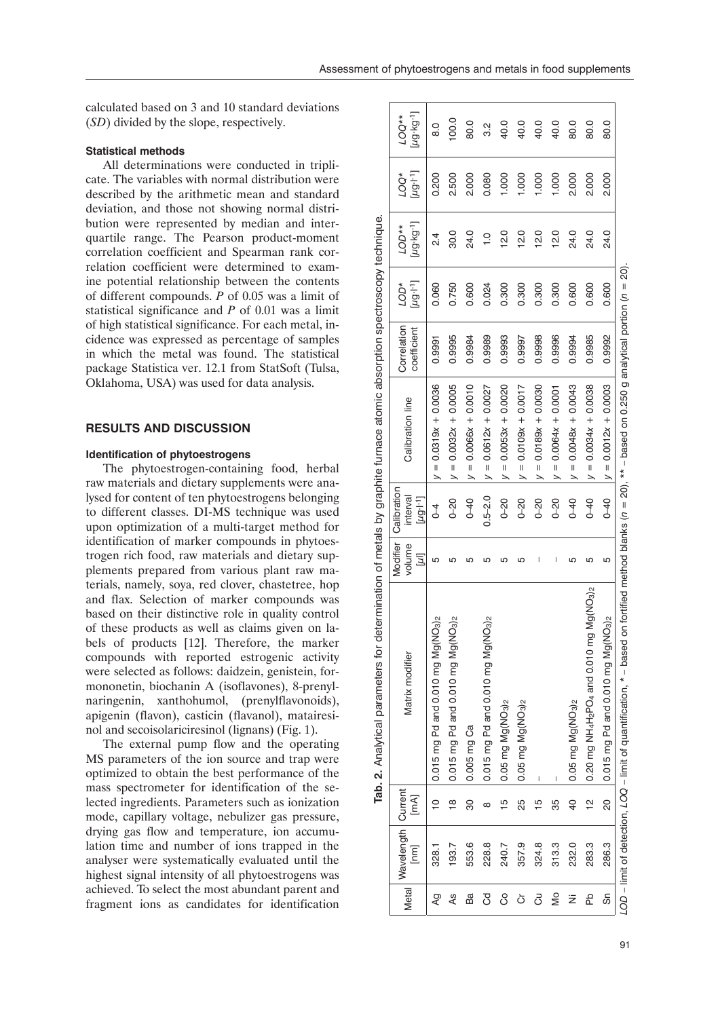## **Statistical methods**

All determinations were conducted in triplicate. The variables with normal distribution were described by the arithmetic mean and standard deviation, and those not showing normal distribution were represented by median and interquartile range. The Pearson product-moment correlation coefficient and Spearman rank correlation coefficient were determined to examine potential relationship between the contents of different compounds. *P* of 0.05 was a limit of statistical significance and *P* of 0.01 was a limit of high statistical significance. For each metal, incidence was expressed as percentage of samples in which the metal was found. The statistical package Statistica ver. 12.1 from StatSoft (Tulsa, Oklahoma, USA) was used for data analysis.

## **Results and discussion**

## **Identification of phytoestrogens**

The phytoestrogen-containing food, herbal raw materials and dietary supplements were analysed for content of ten phytoestrogens belonging to different classes. DI-MS technique was used upon optimization of a multi-target method for identification of marker compounds in phytoestrogen rich food, raw materials and dietary supplements prepared from various plant raw materials, namely, soya, red clover, chastetree, hop and flax. Selection of marker compounds was based on their distinctive role in quality control of these products as well as claims given on labels of products [12]. Therefore, the marker compounds with reported estrogenic activity were selected as follows: daidzein, genistein, formononetin, biochanin A (isoflavones), 8-prenylnaringenin, xanthohumol, (prenylflavonoids), apigenin (flavon), casticin (flavanol), matairesinol and secoisolariciresinol (lignans) (Fig. 1).

The external pump flow and the operating MS parameters of the ion source and trap were optimized to obtain the best performance of the mass spectrometer for identification of the selected ingredients. Parameters such as ionization mode, capillary voltage, nebulizer gas pressure, drying gas flow and temperature, ion accumulation time and number of ions trapped in the analyser were systematically evaluated until the highest signal intensity of all phytoestrogens was achieved. To select the most abundant parent and fragment ions as candidates for identification

|              |                    |                | Tab. 2. Analytical parameters for                                                                                                                              |                    |                         | determination of metals by graphite furnace atomic absorption spectroscopy technique. |             |                            |                |                            |               |
|--------------|--------------------|----------------|----------------------------------------------------------------------------------------------------------------------------------------------------------------|--------------------|-------------------------|---------------------------------------------------------------------------------------|-------------|----------------------------|----------------|----------------------------|---------------|
| <b>Metal</b> | Wavelength Current |                | Matrix modifier                                                                                                                                                | Modifier<br>volume | Calibration<br>interval | <b>Calibration line</b>                                                               | Correlation | *CO7                       | **OD           | <b>AOO1</b>                | $LOG**$       |
|              | [mm]               | [mA]           |                                                                                                                                                                | Įη                 | $[\mu g + 1]$           |                                                                                       | coefficient | $[\mu$ g·l <sup>-1</sup> ] | [49.64]        | $[\mu$ g·l <sup>-1</sup> ] | ug·kg·1]      |
| QY           | 328.1              | $\frac{1}{2}$  | 0.015 mg Pd and 0.010 mg Mg(NO <sub>3)2</sub>                                                                                                                  | ю                  | $\overline{4}$          | $y = 0.0319x + 0.0036$                                                                | 0.9991      | 0.060                      | $\frac{24}{3}$ | 0.200                      | $\frac{0}{8}$ |
| 4s           | 193.7              | ≌              | 0.015 mg Pd and 0.010 mg Mg(NO <sub>3)2</sub>                                                                                                                  | ഥ                  | $0 - 20$                | $= 0.0032x + 0.0005$<br>$\geq$                                                        | 0.9995      | 0.750                      | 30.0           | 2.500                      | 100.0         |
| Ba           | 553.6              | 8              | 0.005 mg Ca                                                                                                                                                    | ഥ                  | $0 - 40$                | $y = 0.0066x + 0.0010$                                                                | 0.9984      | 0.600                      | 24.0           | 2.000                      | 80.0          |
| රි           | 228.8              | ∞              | 0.015 mg Pd and 0.010 mg Mg(NO <sub>3)2</sub>                                                                                                                  | ഥ                  | $0.5 - 2.0$             | $= 0.0612x + 0.0027$<br>↘                                                             | 0.9989      | 0.024                      | $\frac{0}{1}$  | 0.080                      | 2<br>S        |
| ပိ           | 240.7              | $\frac{5}{1}$  | $0.05$ mg $Mg(NO3)2$                                                                                                                                           | ഥ                  | $0 - 20$                | $= 0.0053x + 0.0020$<br>$\overline{\phantom{0}}$                                      | 0.9993      | 0.300                      | 12.0           | 1.000                      | 40.0          |
| ŏ            | 357.9              | 25             | $0.05$ mg $Mg(NO3)2$                                                                                                                                           | ഥ                  | $0 - 20$                | $= 0.0100 + 0.0017$<br>↘                                                              | 0.9997      | 0.300                      | 12.0           | 1.000                      | 40.0          |
| 3            | 324.8              | $\frac{10}{1}$ |                                                                                                                                                                | I                  | $0 - 20$                | $= 0.0189x + 0.0030$<br>$\overline{\phantom{1}}$                                      | 0.9998      | 0.300                      | 12.0           | 1.000                      | 40.0          |
| ιŠ           | 313.3              | 35             | I                                                                                                                                                              | I                  | $0 - 20$                | $= 0.0064x + 0.0001$<br>↘                                                             | 0.9996      | 0.300                      | 12.0           | 1.000                      | 40.0          |
| ż            | 232.0              | $\frac{1}{2}$  | 0.05 mg Mg(NO <sub>3)2</sub>                                                                                                                                   | ഥ                  | $0 - 40$                | $= 0.0048x + 0.0043$                                                                  | 0.9994      | 0.600                      | 24.0           | 2.000                      | 80.0          |
| 운            | 283.3              | $\frac{1}{2}$  | mg Mg(NO <sub>3)2</sub><br>0.20 mg NH <sub>4</sub> H <sub>2</sub> PO <sub>4</sub> and 0.010                                                                    | ιn                 | $0 - 40$                | $= 0.0034x + 0.0038$<br>$\overline{\phantom{0}}$                                      | 0.9985      | 0.600                      | 24.0           | 2.000                      | 80.0          |
| တ်           | 286.3              | <u>ន</u>       | $0.015$ mg Pd and 0.010 mg Mg(NO <sub>3)2</sub>                                                                                                                | ю                  | $0 - 40$                | $y = 0.0012x + 0.0003$                                                                | 0.9992      | 0.600                      | 24.0           | 2.000                      | 80.0          |
|              |                    |                | LOD – limit of detection, LOQ – limit of quantification, * – based on fortified method blanks ( $n=20$ ), ** – based on 0.250 g analytical portion ( $n=20$ ). |                    |                         |                                                                                       |             |                            |                |                            |               |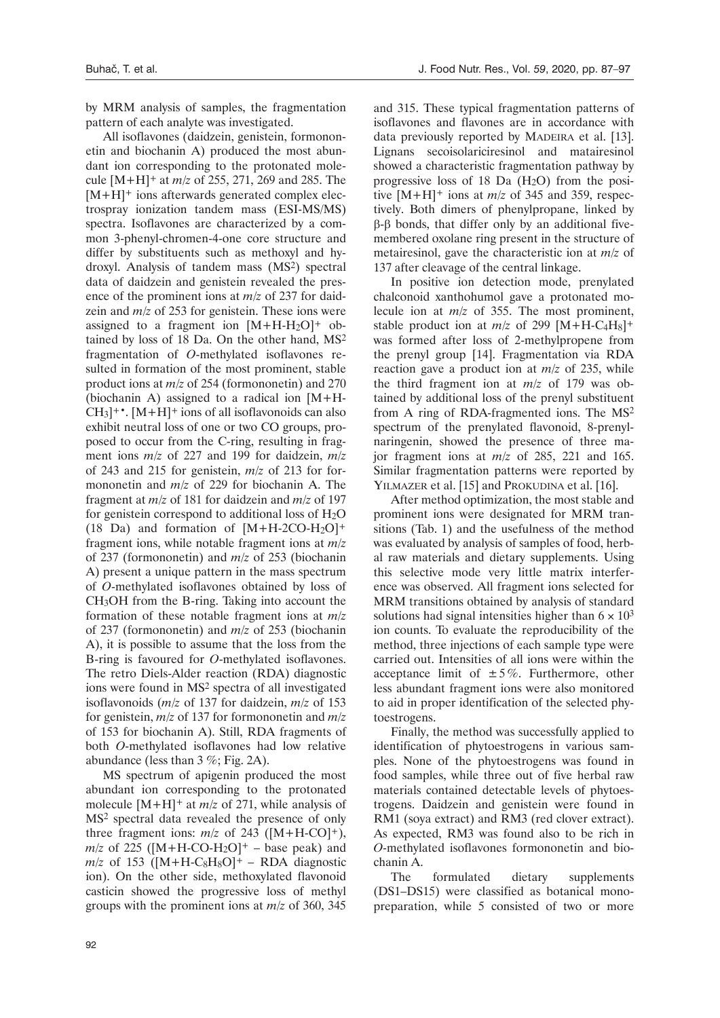by MRM analysis of samples, the fragmentation pattern of each analyte was investigated.

All isoflavones (daidzein, genistein, formononetin and biochanin A) produced the most abundant ion corresponding to the protonated molecule [M+H]+ at *m/z* of 255, 271, 269 and 285. The  $[M+H]^+$  ions afterwards generated complex electrospray ionization tandem mass (ESI-MS/MS) spectra. Isoflavones are characterized by a common 3-phenyl-chromen-4-one core structure and differ by substituents such as methoxyl and hydroxyl. Analysis of tandem mass (MS2) spectral data of daidzein and genistein revealed the presence of the prominent ions at *m/z* of 237 for daidzein and  $m/z$  of 253 for genistein. These ions were assigned to a fragment ion  $[M+H-H<sub>2</sub>O]$ <sup>+</sup> obtained by loss of 18 Da. On the other hand, MS2 fragmentation of *O*-methylated isoflavones resulted in formation of the most prominent, stable product ions at *m/z* of 254 (formononetin) and 270 (biochanin A) assigned to a radical ion [M+H- $CH_3$ <sup>+</sup>. [M+H]<sup>+</sup> ions of all isoflavonoids can also exhibit neutral loss of one or two CO groups, proposed to occur from the C-ring, resulting in fragment ions *m/z* of 227 and 199 for daidzein, *m/z* of 243 and 215 for genistein, *m/z* of 213 for formononetin and *m/z* of 229 for biochanin A. The fragment at *m/z* of 181 for daidzein and *m/z* of 197 for genistein correspond to additional loss of H2O (18 Da) and formation of  $[M+H-2CO-H<sub>2</sub>O]<sup>+</sup>$ fragment ions, while notable fragment ions at *m/z* of 237 (formononetin) and *m/z* of 253 (biochanin A) present a unique pattern in the mass spectrum of *O*-methylated isoflavones obtained by loss of CH3OH from the B-ring. Taking into account the formation of these notable fragment ions at *m/z* of 237 (formononetin) and *m/z* of 253 (biochanin A), it is possible to assume that the loss from the B-ring is favoured for *O*-methylated isoflavones. The retro Diels-Alder reaction (RDA) diagnostic ions were found in MS2 spectra of all investigated isoflavonoids (*m/z* of 137 for daidzein, *m/z* of 153 for genistein, *m/z* of 137 for formononetin and *m/z* of 153 for biochanin A). Still, RDA fragments of both *O*-methylated isoflavones had low relative abundance (less than 3 %; Fig. 2A).

MS spectrum of apigenin produced the most abundant ion corresponding to the protonated molecule [M+H]+ at *m/z* of 271, while analysis of MS2 spectral data revealed the presence of only three fragment ions:  $m/z$  of 243 ( $[M+H-CO]+$ ),  $m/z$  of 225 ([M+H-CO-H<sub>2</sub>O]<sup>+</sup> – base peak) and  $m/z$  of 153 ([M+H-C<sub>8</sub>H<sub>8</sub>O]<sup>+</sup> – RDA diagnostic ion). On the other side, methoxylated flavonoid casticin showed the progressive loss of methyl groups with the prominent ions at *m/z* of 360, 345

and 315. These typical fragmentation patterns of isoflavones and flavones are in accordance with data previously reported by MADEIRA et al. [13]. Lignans secoisolariciresinol and matairesinol showed a characteristic fragmentation pathway by progressive loss of 18 Da (H2O) from the positive  $[M+H]$ <sup>+</sup> ions at  $m/z$  of 345 and 359, respectively. Both dimers of phenylpropane, linked by β-β bonds, that differ only by an additional fivemembered oxolane ring present in the structure of metairesinol, gave the characteristic ion at *m/z* of 137 after cleavage of the central linkage.

In positive ion detection mode, prenylated chalconoid xanthohumol gave a protonated molecule ion at *m/z* of 355. The most prominent, stable product ion at  $m/z$  of 299  $[M+H-C_4H_8]+$ was formed after loss of 2-methylpropene from the prenyl group [14]. Fragmentation via RDA reaction gave a product ion at *m/z* of 235, while the third fragment ion at *m/z* of 179 was obtained by additional loss of the prenyl substituent from A ring of RDA-fragmented ions. The MS2 spectrum of the prenylated flavonoid, 8-prenylnaringenin, showed the presence of three major fragment ions at *m/z* of 285, 221 and 165. Similar fragmentation patterns were reported by YILMAZER et al. [15] and PROKUDINA et al. [16].

After method optimization, the most stable and prominent ions were designated for MRM transitions (Tab. 1) and the usefulness of the method was evaluated by analysis of samples of food, herbal raw materials and dietary supplements. Using this selective mode very little matrix interference was observed. All fragment ions selected for MRM transitions obtained by analysis of standard solutions had signal intensities higher than  $6 \times 10^3$ ion counts. To evaluate the reproducibility of the method, three injections of each sample type were carried out. Intensities of all ions were within the acceptance limit of  $\pm 5\%$ . Furthermore, other less abundant fragment ions were also monitored to aid in proper identification of the selected phytoestrogens.

Finally, the method was successfully applied to identification of phytoestrogens in various samples. None of the phytoestrogens was found in food samples, while three out of five herbal raw materials contained detectable levels of phytoestrogens. Daidzein and genistein were found in RM1 (soya extract) and RM3 (red clover extract). As expected, RM3 was found also to be rich in *O*-methylated isoflavones formononetin and biochanin A.

The formulated dietary supplements (DS1–DS15) were classified as botanical monopreparation, while 5 consisted of two or more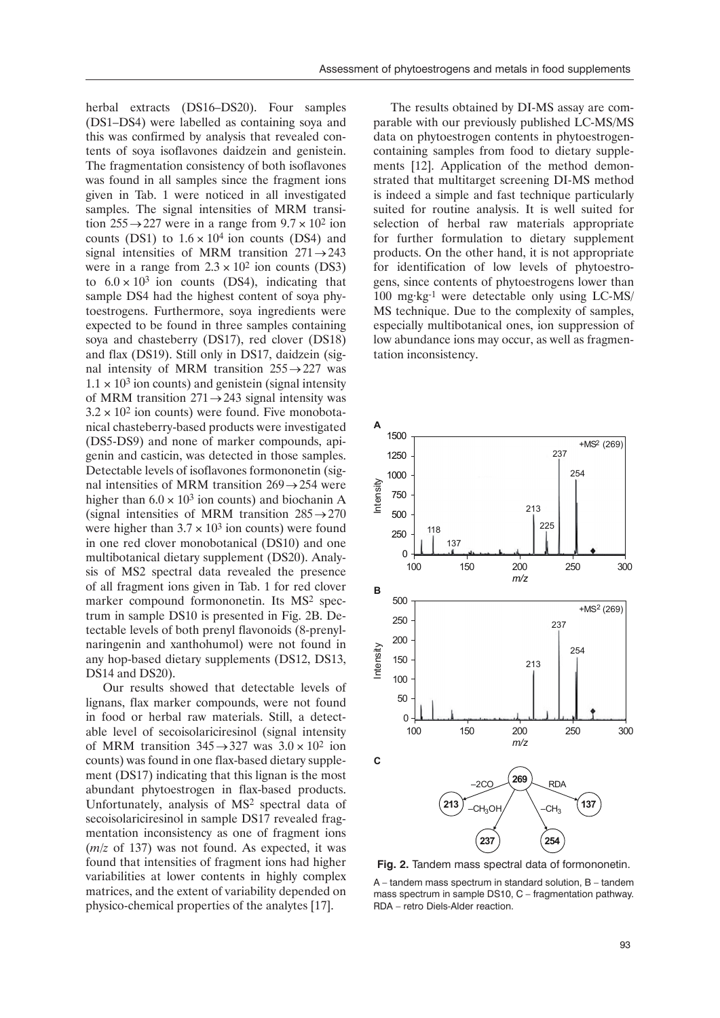herbal extracts (DS16–DS20). Four samples (DS1–DS4) were labelled as containing soya and this was confirmed by analysis that revealed contents of soya isoflavones daidzein and genistein. The fragmentation consistency of both isoflavones was found in all samples since the fragment ions given in Tab. 1 were noticed in all investigated samples. The signal intensities of MRM transition  $255 \rightarrow 227$  were in a range from  $9.7 \times 10^2$  ion counts (DS1) to  $1.6 \times 10^4$  ion counts (DS4) and signal intensities of MRM transition  $271 \rightarrow 243$ were in a range from  $2.3 \times 10^2$  ion counts (DS3) to  $6.0 \times 10^3$  ion counts (DS4), indicating that sample DS4 had the highest content of soya phytoestrogens. Furthermore, soya ingredients were expected to be found in three samples containing soya and chasteberry (DS17), red clover (DS18) and flax (DS19). Still only in DS17, daidzein (signal intensity of MRM transition  $255 \rightarrow 227$  was  $1.1 \times 10^3$  ion counts) and genistein (signal intensity of MRM transition  $271 \rightarrow 243$  signal intensity was  $3.2 \times 10^2$  ion counts) were found. Five monobotanical chasteberry-based products were investigated (DS5-DS9) and none of marker compounds, apigenin and casticin, was detected in those samples. Detectable levels of isoflavones formononetin (signal intensities of MRM transition  $269 \rightarrow 254$  were higher than  $6.0 \times 10^3$  ion counts) and biochanin A (signal intensities of MRM transition  $285 \rightarrow 270$ were higher than  $3.7 \times 10^3$  ion counts) were found in one red clover monobotanical (DS10) and one multibotanical dietary supplement (DS20). Analysis of MS2 spectral data revealed the presence of all fragment ions given in Tab. 1 for red clover marker compound formononetin. Its MS2 spectrum in sample DS10 is presented in Fig. 2B. Detectable levels of both prenyl flavonoids (8-prenylnaringenin and xanthohumol) were not found in any hop-based dietary supplements (DS12, DS13, DS14 and DS20).

Our results showed that detectable levels of lignans, flax marker compounds, were not found in food or herbal raw materials. Still, a detectable level of secoisolariciresinol (signal intensity of MRM transition  $345 \rightarrow 327$  was  $3.0 \times 10^2$  ion counts) was found in one flax-based dietary supplement (DS17) indicating that this lignan is the most abundant phytoestrogen in flax-based products. Unfortunately, analysis of MS2 spectral data of secoisolariciresinol in sample DS17 revealed fragmentation inconsistency as one of fragment ions (*m/z* of 137) was not found. As expected, it was found that intensities of fragment ions had higher variabilities at lower contents in highly complex matrices, and the extent of variability depended on physico-chemical properties of the analytes [17].

The results obtained by DI-MS assay are comparable with our previously published LC-MS/MS data on phytoestrogen contents in phytoestrogencontaining samples from food to dietary supplements [12]. Application of the method demonstrated that multitarget screening DI-MS method is indeed a simple and fast technique particularly suited for routine analysis. It is well suited for selection of herbal raw materials appropriate for further formulation to dietary supplement products. On the other hand, it is not appropriate for identification of low levels of phytoestrogens, since contents of phytoestrogens lower than 100 mg·kg-1 were detectable only using LC-MS/ MS technique. Due to the complexity of samples, especially multibotanical ones, ion suppression of low abundance ions may occur, as well as fragmentation inconsistency.



**Fig. 2.** Tandem mass spectral data of formononetin.

A – tandem mass spectrum in standard solution, B – tandem mass spectrum in sample DS10, C – fragmentation pathway. RDA – retro Diels-Alder reaction.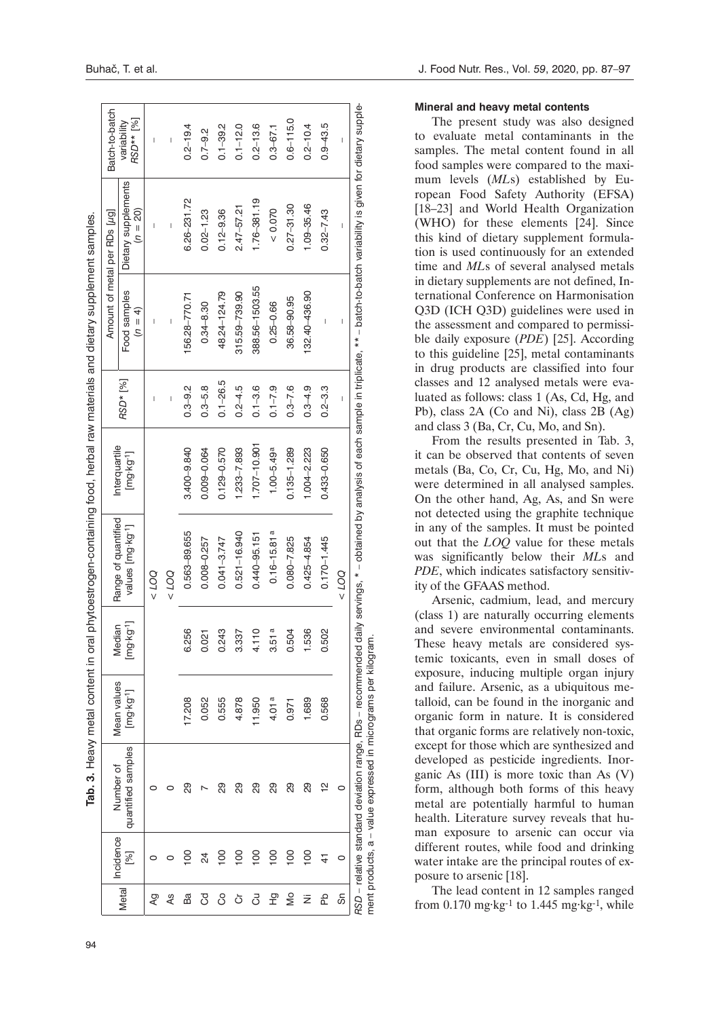| I                         |
|---------------------------|
|                           |
|                           |
|                           |
|                           |
| ļ                         |
|                           |
|                           |
|                           |
|                           |
|                           |
|                           |
| <b>PARTICULAR CONTROL</b> |
|                           |
|                           |
| くくりょう                     |
| i                         |
|                           |
|                           |
|                           |
|                           |
|                           |
|                           |
|                           |
| ĺ                         |
|                           |
| `<br>^<br>^               |
| į                         |
|                           |
| ֚֚֡                       |
|                           |
| Tab. 3<br>ı               |

|              | Incidence      | Number of                                                                                                                    | Mean values          | Median               | Range of quantified           | Interquartile        |                |                                       | Amount of metal per RDs [µg]                                                                                                        | Batch-to-batch           |
|--------------|----------------|------------------------------------------------------------------------------------------------------------------------------|----------------------|----------------------|-------------------------------|----------------------|----------------|---------------------------------------|-------------------------------------------------------------------------------------------------------------------------------------|--------------------------|
| <b>Metal</b> | [%]            | quantified samples                                                                                                           | $[mg \cdot kg^{-1}]$ | $[mg \cdot kg^{-1}]$ | values [mg·kg <sup>-1</sup> ] | $[mg \cdot kg^{-1}]$ | RSD* [%]       | Food samples<br>$(n = 4)$             | Dietary supplements<br>$(n = 20)$                                                                                                   | RSD** [%]<br>variability |
| Λg           |                |                                                                                                                              |                      |                      | 001 >                         |                      | I              | I                                     | I                                                                                                                                   | I                        |
| 4s           |                |                                                                                                                              |                      |                      | 001 >                         |                      | $\overline{1}$ | $\begin{array}{c} \hline \end{array}$ | $\overline{\phantom{a}}$                                                                                                            | $\overline{\phantom{a}}$ |
| Ba           | $\overline{5}$ | 8                                                                                                                            | 17.208               | 256<br>ဖ             | 0.563-89.655                  | 3.400-9.840          | $0.3 - 9.2$    | 56.28-770.71                          | 6.26-231.72                                                                                                                         | $0.2 - 19.4$             |
| टु           | 24             |                                                                                                                              | 0.052                | $\overline{21}$<br>O | 0.008-0.257                   | 0.009-0.064          | $0.3 - 5.8$    | $0.34 - 8.30$                         | $0.02 - 1.23$                                                                                                                       | $0.7 - 9.2$              |
| 8            | <u>8</u>       | ని                                                                                                                           | 0.555                | .243<br>O            | $0.041 - 3.747$               | $0.129 - 0.570$      | $0.1 - 26.5$   | 48.24-124.79                          | $0.12 - 9.36$                                                                                                                       | $0.1 - 39.2$             |
| ŏ            | $\frac{8}{1}$  | 8                                                                                                                            | 4.878                | 337<br>ო             | $0.521 - 16.940$              | $1.233 - 7.893$      | $0.2 - 4.5$    | 315.59-739.90                         | $2.47 - 57.21$                                                                                                                      | $0.1 - 12.0$             |
| 5            | $\frac{8}{10}$ | 8g                                                                                                                           | 11,950               | 4.110                | $0.440 - 95.151$              | 1.707-10.901         | $0.1 - 3.6$    | 388.56-1503.55                        | 1.76-381.19                                                                                                                         | $0.2 - 13.6$             |
| 운            | $\overline{0}$ | 89                                                                                                                           | 4.01a                | 51a<br>ო             | $0.16 - 15.81a$               | $100 - 5.49$ a       | $0.1 - 7.9$    | $0.25 - 0.66$                         | 0.070                                                                                                                               | $0.3 - 67.1$             |
| å            | $\frac{8}{10}$ | 8                                                                                                                            | 0.971                | 504<br>O             | $0.080 - 7.825$               | $0.135 - 1.289$      | $0.3 - 7.6$    | 36.58-90.95                           | $0.27 - 31.30$                                                                                                                      | $0.6 - 115.0$            |
| ż            | $\overline{5}$ | 8                                                                                                                            | 1.689                | 536                  | $0.425 - 4.854$               | $1.004 - 2.223$      | $0.3 - 4.9$    | 132.40-436.90                         | 1.09-35.46                                                                                                                          | $0.2 - 10.4$             |
| 운            |                | 얻                                                                                                                            | 0.568                | 502<br>O             | $0.170 - 1.445$               | 0.433-0.650          | $0.2 - 3.3$    | Ī                                     | $0.32 - 7.43$                                                                                                                       | $0.9 - 43.5$             |
| တ်           | 0              | 0                                                                                                                            |                      |                      | 001 >                         |                      | Ī              | Ī                                     | Ï                                                                                                                                   | I                        |
|              |                | ment products, a – value expressed in micrograms per kilogram.<br>RSD - relative standard deviation range, RDs - recommended |                      |                      |                               |                      |                |                                       | daily servings, * – obtained by analysis of each sample in triplicate, ** – batch-to-batch variability is given for dietary supple- |                          |

#### **Mineral and heavy metal contents**

The present study was also designed to evaluate metal contaminants in the samples. The metal content found in all food samples were compared to the maxi mum levels (*ML*s) established by Eu ropean Food Safety Authority (EFSA) [18-23] and World Health Organization (WHO) for these elements [24]. Since this kind of dietary supplement formula tion is used continuously for an extended time and *ML*s of several analysed metals in dietary supplements are not defined, In ternational Conference on Harmonisation Q3D (ICH Q3D) guidelines were used in the assessment and compared to permissi ble daily exposure (*PDE*) [25]. According to this guideline [25], metal contaminants in drug products are classified into four classes and 12 analysed metals were eva luated as follows: class 1 (As, Cd, Hg, and Pb), class 2A (Co and Ni), class 2B (Ag) and class 3 (Ba, Cr, Cu, Mo, and Sn).

From the results presented in Tab. 3, it can be observed that contents of seven metals (Ba, Co, Cr, Cu, Hg, Mo, and Ni) were determined in all analysed samples. On the other hand, Ag, As, and Sn were not detected using the graphite technique in any of the samples. It must be pointed out that the *LOQ* value for these metals was significantly below their *ML*s and PDE, which indicates satisfactory sensitivity of the GFAAS method.

Arsenic, cadmium, lead, and mercury (class 1) are naturally occurring elements and severe environmental contaminants. These heavy metals are considered sys temic toxicants, even in small doses of exposure, inducing multiple organ injury and failure. Arsenic, as a ubiquitous me talloid, can be found in the inorganic and organic form in nature. It is considered that organic forms are relatively non-toxic, except for those which are synthesized and developed as pesticide ingredients. Inor ganic As (III) is more toxic than As (V) form, although both forms of this heavy metal are potentially harmful to human health. Literature survey reveals that human exposure to arsenic can occur via different routes, while food and drinking water intake are the principal routes of ex posure to arsenic [18].

The lead content in 12 samples ranged from  $0.170$  mg·kg<sup>-1</sup> to 1.445 mg·kg<sup>-1</sup>, while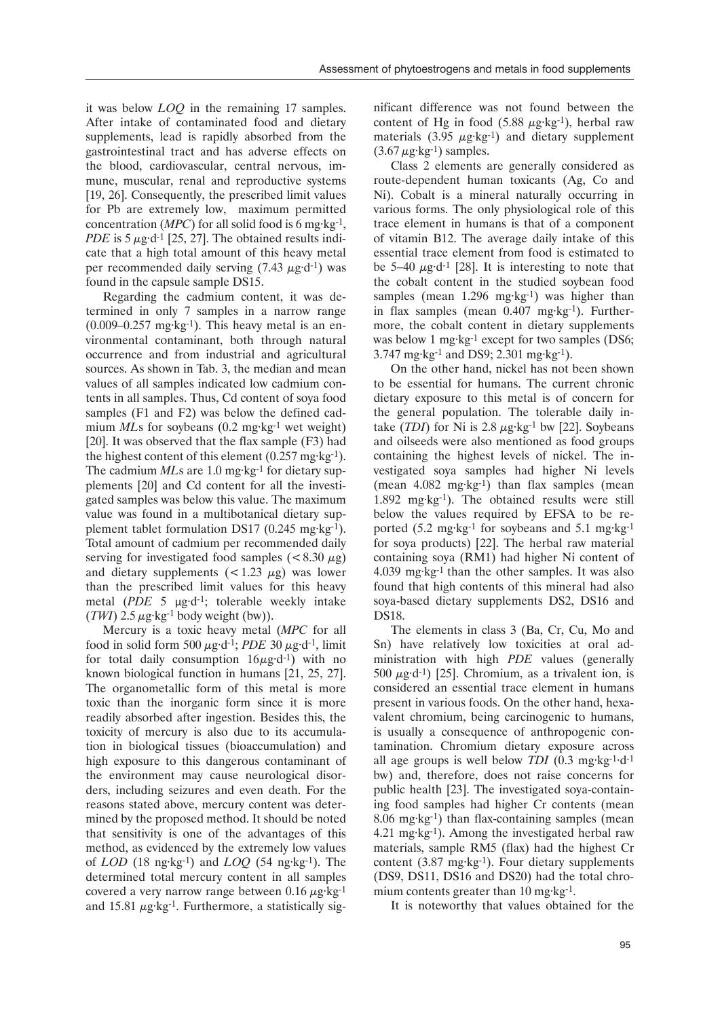it was below *LOQ* in the remaining 17 samples. After intake of contaminated food and dietary supplements, lead is rapidly absorbed from the gastrointestinal tract and has adverse effects on the blood, cardiovascular, central nervous, immune, muscular, renal and reproductive systems [19, 26]. Consequently, the prescribed limit values for Pb are extremely low, maximum permitted concentration (*MPC*) for all solid food is 6 mg·kg-1, *PDE* is 5  $\mu$ g·d<sup>-1</sup> [25, 27]. The obtained results indicate that a high total amount of this heavy metal per recommended daily serving  $(7.43 \mu g \cdot d^{-1})$  was found in the capsule sample DS15.

Regarding the cadmium content, it was determined in only 7 samples in a narrow range  $(0.009 - 0.257 \text{ mg·kg-1})$ . This heavy metal is an environmental contaminant, both through natural occurrence and from industrial and agricultural sources. As shown in Tab. 3, the median and mean values of all samples indicated low cadmium contents in all samples. Thus, Cd content of soya food samples (F1 and F2) was below the defined cadmium *MLs* for soybeans (0.2 mg·kg<sup>-1</sup> wet weight) [20]. It was observed that the flax sample (F3) had the highest content of this element  $(0.257 \text{ mg} \cdot \text{kg}^{-1})$ . The cadmium *MLs* are 1.0 mg·kg<sup>-1</sup> for dietary supplements [20] and Cd content for all the investigated samples was below this value. The maximum value was found in a multibotanical dietary supplement tablet formulation DS17 (0.245 mg·kg-1). Total amount of cadmium per recommended daily serving for investigated food samples ( $\lt$ 8.30  $\mu$ g) and dietary supplements  $(< 1.23 \mu g$ ) was lowerthan the prescribed limit values for this heavy metal (*PDE* 5 µg·d-1; tolerable weekly intake  $(TW1)$  2.5  $\mu$ g·kg<sup>-1</sup> body weight (bw)).

Mercury is a toxic heavy metal (*MPC* for all food in solid form 500  $\mu$ g·d<sup>-1</sup>; *PDE* 30  $\mu$ g·d<sup>-1</sup>, limit for total daily consumption  $16\mu\text{g} \cdot \text{d}^{-1}$ ) with no known biological function in humans [21, 25, 27]. The organometallic form of this metal is more toxic than the inorganic form since it is more readily absorbed after ingestion. Besides this, the toxicity of mercury is also due to its accumulation in biological tissues (bioaccumulation) and high exposure to this dangerous contaminant of the environment may cause neurological disorders, including seizures and even death. For the reasons stated above, mercury content was determined by the proposed method. It should be noted that sensitivity is one of the advantages of this method, as evidenced by the extremely low values of *LOD* (18 ng·kg-1) and *LOQ* (54 ng·kg-1). The determined total mercury content in all samples covered a very narrow range between 0.16  $\mu$ g·kg<sup>-1</sup> and 15.81  $\mu$ g·kg<sup>-1</sup>. Furthermore, a statistically significant difference was not found between the content of Hg in food  $(5.88 \mu g \cdot kg^{-1})$ , herbal raw materials  $(3.95 \mu g \cdot kg^{-1})$  and dietary supplement  $(3.67 \,\mu\text{g} \cdot \text{kg}^{-1})$  samples.

Class 2 elements are generally considered as route-dependent human toxicants (Ag, Co and Ni). Cobalt is a mineral naturally occurring in various forms. The only physiological role of this trace element in humans is that of a component of vitamin B12. The average daily intake of this essential trace element from food is estimated to be 5–40  $\mu$ g·d<sup>-1</sup> [28]. It is interesting to note that the cobalt content in the studied soybean food samples (mean  $1.296$  mg·kg<sup>-1</sup>) was higher than in flax samples (mean 0.407 mg·kg-1). Furthermore, the cobalt content in dietary supplements was below 1 mg·kg<sup>-1</sup> except for two samples (DS6; 3.747 mg·kg-1 and DS9; 2.301 mg·kg-1).

On the other hand, nickel has not been shown to be essential for humans. The current chronic dietary exposure to this metal is of concern for the general population. The tolerable daily intake  $(TDI)$  for Ni is 2.8  $\mu$ g·kg<sup>-1</sup> bw [22]. Soybeans and oilseeds were also mentioned as food groups containing the highest levels of nickel. The investigated soya samples had higher Ni levels (mean 4.082 mg·kg-1) than flax samples (mean 1.892 mg·kg-1). The obtained results were still below the values required by EFSA to be reported (5.2 mg·kg<sup>-1</sup> for soybeans and 5.1 mg·kg<sup>-1</sup> for soya products) [22]. The herbal raw material containing soya (RM1) had higher Ni content of 4.039 mg·kg<sup>-1</sup> than the other samples. It was also found that high contents of this mineral had also soya-based dietary supplements DS2, DS16 and DS18.

The elements in class 3 (Ba, Cr, Cu, Mo and Sn) have relatively low toxicities at oral administration with high *PDE* values (generally 500  $\mu$ g·d<sup>-1</sup>) [25]. Chromium, as a trivalent ion, is considered an essential trace element in humans present in various foods. On the other hand, hexavalent chromium, being carcinogenic to humans, is usually a consequence of anthropogenic contamination. Chromium dietary exposure across all age groups is well below *TDI* (0.3 mg·kg-1·d-1 bw) and, therefore, does not raise concerns for public health [23]. The investigated soya-containing food samples had higher Cr contents (mean 8.06 mg·kg-1) than flax-containing samples (mean 4.21 mg·kg-1). Among the investigated herbal raw materials, sample RM5 (flax) had the highest Cr content (3.87 mg·kg-1). Four dietary supplements (DS9, DS11, DS16 and DS20) had the total chromium contents greater than 10 mg·kg-1.

It is noteworthy that values obtained for the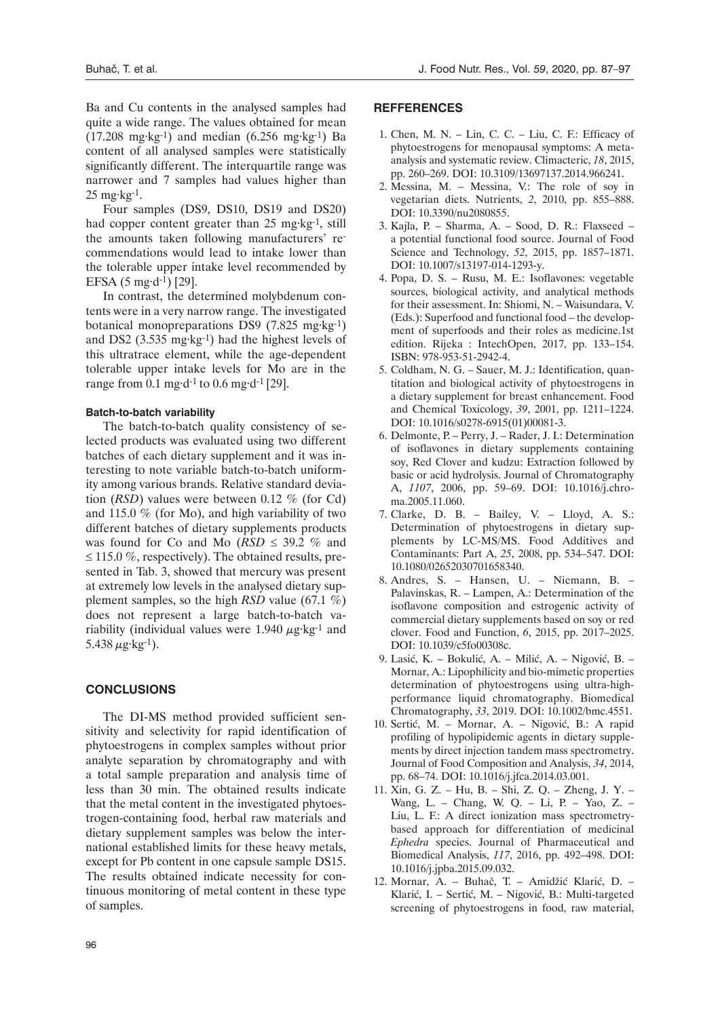Ba and Cu contents in the analysed samples had quite a wide range. The values obtained for mean  $(17.208 \text{ mg} \cdot \text{kg}^{-1})$  and median  $(6.256 \text{ mg} \cdot \text{kg}^{-1})$  Ba content of all analysed samples were statistically significantly different. The interquartile range was narrower and 7 samples had values higher than 25 mg·kg-1.

Four samples (DS9, DS10, DS19 and DS20) had copper content greater than 25 mg·kg<sup>-1</sup>, still the amounts taken following manufacturers' recommendations would lead to intake lower than the tolerable upper intake level recommended by EFSA  $(5 \text{ mg} \cdot d^{-1})$  [29].

In contrast, the determined molybdenum contents were in a very narrow range. The investigated botanical monopreparations DS9 (7.825 mg·kg-1) and DS2 (3.535 mg·kg-1) had the highest levels of this ultratrace element, while the age-dependent tolerable upper intake levels for Mo are in the range from 0.1 mg·d<sup>-1</sup> to 0.6 mg·d<sup>-1</sup> [29].

#### **Batch-to-batch variability**

The batch-to-batch quality consistency of selected products was evaluated using two different batches of each dietary supplement and it was interesting to note variable batch-to-batch uniformity among various brands. Relative standard deviation (*RSD*) values were between 0.12 % (for Cd) and 115.0 % (for Mo), and high variability of two different batches of dietary supplements products was found for Co and Mo  $(RSD \leq 39.2 \%$  and  $\leq$  115.0 %, respectively). The obtained results, presented in Tab. 3, showed that mercury was present at extremely low levels in the analysed dietary supplement samples, so the high *RSD* value (67.1 %) does not represent a large batch-to-batch variability (individual values were 1.940  $\mu$ g·kg<sup>-1</sup> and 5.438  $\mu$ g·kg<sup>-1</sup>).

#### **Conclusions**

The DI-MS method provided sufficient sensitivity and selectivity for rapid identification of phytoestrogens in complex samples without prior analyte separation by chromatography and with a total sample preparation and analysis time of less than 30 min. The obtained results indicate that the metal content in the investigated phytoestrogen-containing food, herbal raw materials and dietary supplement samples was below the international established limits for these heavy metals, except for Pb content in one capsule sample DS15. The results obtained indicate necessity for continuous monitoring of metal content in these type of samples.

#### **Refferences**

- 1. Chen, M. N. Lin, C. C. Liu, C. F.: Efficacy of phytoestrogens for menopausal symptoms: A metaanalysis and systematic review. Climacteric, *18*, 2015, pp. 260–269. DOI: [10.3109/13697137.2014.966241](https://doi.org/10.3109/13697137.2014.966241).
- 2. Messina, M. Messina, V.: The role of soy in vegetarian diets. Nutrients, *2*, 2010, pp. 855–888. DOI: [10.3390/nu2080855](https://doi.org/10.3390/nu2080855).
- 3. Kajla, P. Sharma, A. Sood, D. R.: Flaxseed a potential functional food source. Journal of Food Science and Technology, *52*, 2015, pp. 1857–1871. DOI: [10.1007/s13197-014-1293-y](https://doi.org/10.1007/s13197-014-1293-y).
- 4. Popa, D. S. Rusu, M. E.: Isoflavones: vegetable sources, biological activity, and analytical methods for their assessment. In: Shiomi, N. – Waisundara, V. (Eds.): Superfood and functional food – the development of superfoods and their roles as medicine.1st edition. Rijeka : IntechOpen, 2017, pp. 133–154. ISBN: 978-953-51-2942-4.
- 5. Coldham, N. G. Sauer, M. J.: Identification, quantitation and biological activity of phytoestrogens in a dietary supplement for breast enhancement. Food and Chemical Toxicology, *39*, 2001, pp. 1211–1224. DOI: [10.1016/s0278-6915\(01\)00081-3](https://doi.org/10.1016/s0278-6915(01)00081-3).
- 6. Delmonte, P. Perry, J. Rader, J. I.: Determination of isoflavones in dietary supplements containing soy, Red Clover and kudzu: Extraction followed by basic or acid hydrolysis. Journal of Chromatography A, *1107*, 2006, pp. 59–69. DOI: [10.1016/j.chro](https://doi.org/10.1016/j.chroma.2005.11.060)[ma.2005.11.060](https://doi.org/10.1016/j.chroma.2005.11.060).
- 7. Clarke, D. B. Bailey, V. Lloyd, A. S.: Determination of phytoestrogens in dietary supplements by LC-MS/MS. Food Additives and Contaminants: Part A, *25*, 2008, pp. 534–547. DOI: [10.1080/02652030701658340](https://doi.org/10.1080/02652030701658340).
- 8. Andres, S. Hansen, U. Niemann, B. Palavinskas, R. – Lampen, A.: Determination of the isoflavone composition and estrogenic activity of commercial dietary supplements based on soy or red clover. Food and Function, *6*, 2015, pp. 2017–2025. DOI: [10.1039/c5fo00308c.](https://doi.org/10.1039/c5fo00308c)
- 9. Lasić, K. Bokulić, A. Milić, A. Nigović, B. Mornar, A.: Lipophilicity and bio-mimetic properties determination of phytoestrogens using ultra-highperformance liquid chromatography. Biomedical Chromatography, *33*, 2019. DOI: [10.1002/bmc.4551.](https://doi.org/10.1002/bmc.4551)
- 10. Sertić, M. Mornar, A. Nigović, B.: A rapid profiling of hypolipidemic agents in dietary supplements by direct injection tandem mass spectrometry. Journal of Food Composition and Analysis, *34*, 2014, pp. 68–74. DOI: [10.1016/j.jfca.2014.03.001](https://doi.org/10.1016/j.jfca.2014.03.001).
- 11. Xin, G. Z. Hu, B. Shi, Z. Q. Zheng, J. Y. Wang, L. – Chang, W. Q. – Li, P. – Yao, Z. – Liu, L. F.: A direct ionization mass spectrometrybased approach for differentiation of medicinal *Ephedra* species. Journal of Pharmaceutical and Biomedical Analysis, *117*, 2016, pp. 492–498. DOI: [10.1016/j.jpba.2015.09.032](https://doi.org/10.1016/j.jpba.2015.09.032).
- 12. Mornar, A. Buhač, T. Amidžić Klarić, D. Klarić, I. – Sertić, M. – Nigović, B.: Multi-targeted screening of phytoestrogens in food, raw material,